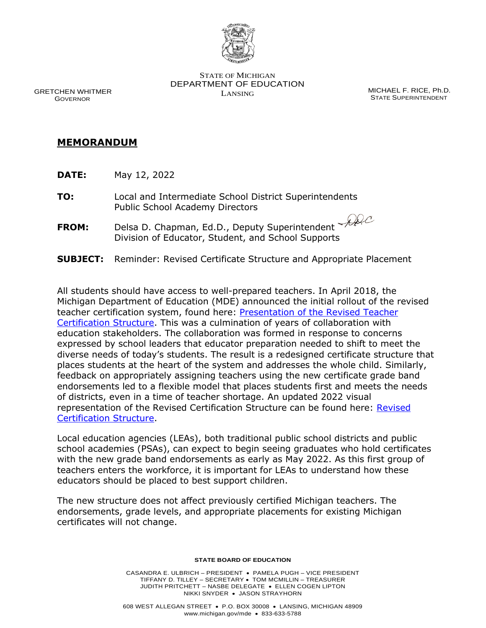

 GRETCHEN WHITMER GOVERNOR

STATE OF MICHIGAN DEPARTMENT OF EDUCATION LANSING MICHAEL F. RICE, Ph.D.

STATE SUPERINTENDENT

# **MEMORANDUM**

- **DATE:** May 12, 2022
- **TO:** Local and Intermediate School District Superintendents Public School Academy Directors
- **FROM:** Delsa D. Chapman, Ed.D., Deputy Superintendent Division of Educator, Student, and School Supports
- **SUBJECT:** Reminder: Revised Certificate Structure and Appropriate Placement

All students should have access to well-prepared teachers. In April 2018, the Michigan Department of Education (MDE) announced the initial rollout of the revised teacher certification system, found here: [Presentation of the](https://www.michigan.gov/-/media/Project/Websites/mde/Year/2018/05/02/Item_B_Teacher_Certification_Structure.pdf?rev=5678dd847ea3428c9a0b53874ba0f41a) Revised Teacher [Certification Structure.](https://www.michigan.gov/-/media/Project/Websites/mde/Year/2018/05/02/Item_B_Teacher_Certification_Structure.pdf?rev=5678dd847ea3428c9a0b53874ba0f41a) This was a culmination of years of collaboration with education stakeholders. The collaboration was formed in response to concerns expressed by school leaders that educator preparation needed to shift to meet the diverse needs of today's students. The result is a redesigned certificate structure that places students at the heart of the system and addresses the whole child. Similarly, feedback on appropriately assigning teachers using the new certificate grade band endorsements led to a flexible model that places students first and meets the needs of districts, even in a time of teacher shortage. An updated 2022 visual representation of the Revised Certification Structure can be found here: [Revised](https://www.michigan.gov/-/media/Project/Websites/mde/educator_services/cert/certificate_structure.pdf?rev=63224c6156de42f39ade2cf20977d8a3)  [Certification Structure.](https://www.michigan.gov/-/media/Project/Websites/mde/educator_services/cert/certificate_structure.pdf?rev=63224c6156de42f39ade2cf20977d8a3)

Local education agencies (LEAs), both traditional public school districts and public school academies (PSAs), can expect to begin seeing graduates who hold certificates with the new grade band endorsements as early as May 2022. As this first group of teachers enters the workforce, it is important for LEAs to understand how these educators should be placed to best support children.

The new structure does not affect previously certified Michigan teachers. The endorsements, grade levels, and appropriate placements for existing Michigan certificates will not change.

#### **STATE BOARD OF EDUCATION**

CASANDRA E. ULBRICH – PRESIDENT • PAMELA PUGH – VICE PRESIDENT TIFFANY D. TILLEY – SECRETARY • TOM MCMILLIN – TREASURER JUDITH PRITCHETT – NASBE DELEGATE • ELLEN COGEN LIPTON NIKKI SNYDER • JASON STRAYHORN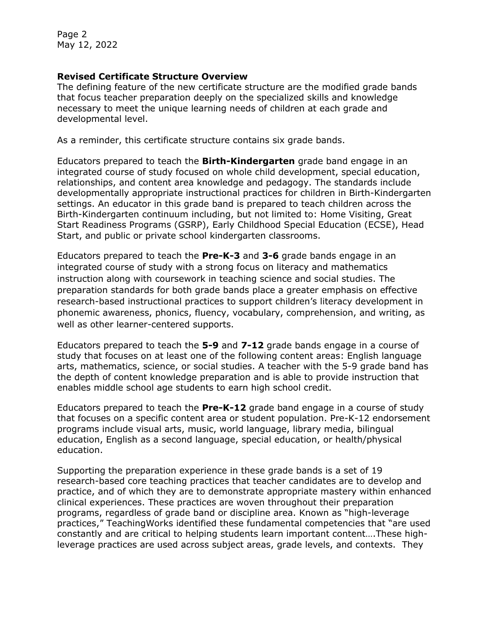Page 2 May 12, 2022

# **Revised Certificate Structure Overview**

The defining feature of the new certificate structure are the modified grade bands that focus teacher preparation deeply on the specialized skills and knowledge necessary to meet the unique learning needs of children at each grade and developmental level.

As a reminder, this certificate structure contains six grade bands.

Educators prepared to teach the **Birth-Kindergarten** grade band engage in an integrated course of study focused on whole child development, special education, relationships, and content area knowledge and pedagogy. The standards include developmentally appropriate instructional practices for children in Birth-Kindergarten settings. An educator in this grade band is prepared to teach children across the Birth-Kindergarten continuum including, but not limited to: Home Visiting, Great Start Readiness Programs (GSRP), Early Childhood Special Education (ECSE), Head Start, and public or private school kindergarten classrooms.

Educators prepared to teach the **Pre-K-3** and **3-6** grade bands engage in an integrated course of study with a strong focus on literacy and mathematics instruction along with coursework in teaching science and social studies. The preparation standards for both grade bands place a greater emphasis on effective research-based instructional practices to support children's literacy development in phonemic awareness, phonics, fluency, vocabulary, comprehension, and writing, as well as other learner-centered supports.

Educators prepared to teach the **5-9** and **7-12** grade bands engage in a course of study that focuses on at least one of the following content areas: English language arts, mathematics, science, or social studies. A teacher with the 5-9 grade band has the depth of content knowledge preparation and is able to provide instruction that enables middle school age students to earn high school credit.

Educators prepared to teach the **Pre-K-12** grade band engage in a course of study that focuses on a specific content area or student population. Pre-K-12 endorsement programs include visual arts, music, world language, library media, bilingual education, English as a second language, special education, or health/physical education.

Supporting the preparation experience in these grade bands is a set of 19 research-based core teaching practices that teacher candidates are to develop and practice, and of which they are to demonstrate appropriate mastery within enhanced clinical experiences. These practices are woven throughout their preparation programs, regardless of grade band or discipline area. Known as "high-leverage practices," TeachingWorks identified these fundamental competencies that "are used constantly and are critical to helping students learn important content….These highleverage practices are used across subject areas, grade levels, and contexts. They